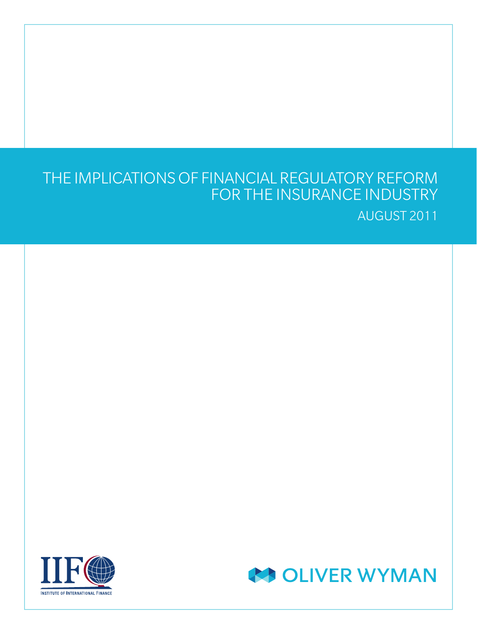# THE IMPLICATIONS OF FINANCIAL REGULATORY REFORM FOR THE INSURANCE INDUSTRY AUGUST 2011



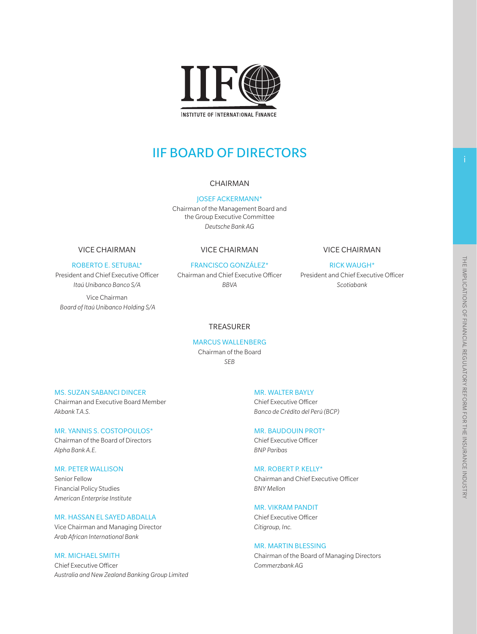

**INSTITUTE OF INTERNATIONAL FINANCE** 

# IIF BOARD OF DIRECTORS

#### CHAIRMAN

JOSEF ACKERMANN\* Chairman of the Management Board and the Group Executive Committee *Deutsche Bank AG*

#### VICE CHAIRMAN

#### ROBERTO E. SETUBAL\*

President and Chief Executive Officer *Itaú Unibanco Banco S/A*

Vice Chairman *Board of Itaú Unibanco Holding S/A*

#### VICE CHAIRMAN

#### FRANCISCO GONZÁLEZ\*

Chairman and Chief Executive Officer *BBVA*

#### VICE CHAIRMAN

RICK WAUGH\* President and Chief Executive Officer *Scotiabank*

### TREASURER

#### MARCUS WALLENBERG Chairman of the Board *SEB*

#### MS. SUZAN SABANCI DINCER

Chairman and Executive Board Member *Akbank T.A.S.*

#### MR. YANNIS S. COSTOPOULOS\*

Chairman of the Board of Directors *Alpha Bank A.E.*

#### MR. PETER WALLISON

Senior Fellow Financial Policy Studies *American Enterprise Institute*

#### MR. HASSAN EL SAYED ABDALLA

Vice Chairman and Managing Director *Arab African International Bank*

#### MR. MICHAEL SMITH

Chief Executive Officer *Australia and New Zealand Banking Group Limited* MR. WALTER BAYLY Chief Executive Officer *Banco de Crédito del Perú (BCP)*

#### MR. BAUDOUIN PROT\*

Chief Executive Officer *BNP Paribas*

#### MR. ROBERT P. KELLY\*

Chairman and Chief Executive Officer *BNY Mellon*

#### MR. VIKRAM PANDIT

Chief Executive Officer *Citigroup, Inc.*

#### MR. MARTIN BLESSING

Chairman of the Board of Managing Directors *Commerzbank AG*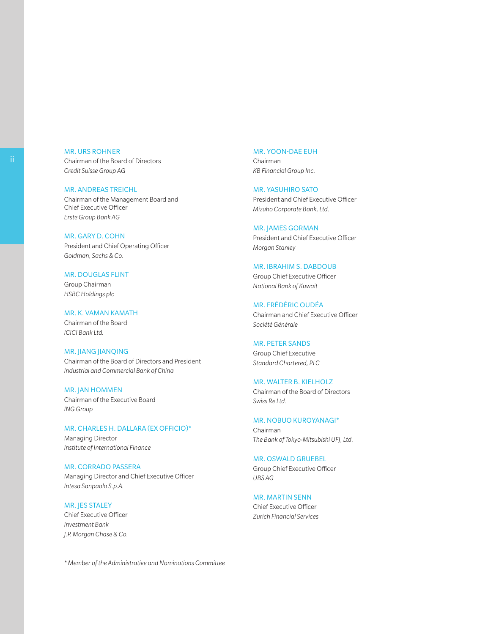#### MR. URS ROHNER Chairman of the Board of Directors *Credit Suisse Group AG*

MR. ANDREAS TREICHL Chairman of the Management Board and Chief Executive Officer *Erste Group Bank AG*

MR. GARY D. COHN President and Chief Operating Officer *Goldman, Sachs & Co.*

#### MR. DOUGLAS FLINT Group Chairman *HSBC Holdings plc*

MR. K. VAMAN KAMATH Chairman of the Board *ICICI Bank Ltd.*

#### MR. JIANG JIANQING Chairman of the Board of Directors and President

*Industrial and Commercial Bank of China*

MR. JAN HOMMEN Chairman of the Executive Board *ING Group*

### MR. CHARLES H. DALLARA (EX OFFICIO)\* Managing Director

*Institute of International Finance*

MR. CORRADO PASSERA Managing Director and Chief Executive Officer *Intesa Sanpaolo S.p.A.*

#### MR. JES STALEY

Chief Executive Officer *Investment Bank J.P. Morgan Chase & Co.*

#### MR. YOON-DAE EUH

Chairman *KB Financial Group Inc.*

#### MR. YASUHIRO SATO

President and Chief Executive Officer *Mizuho Corporate Bank,Ltd.*

#### MR. JAMES GORMAN

President and Chief Executive Officer *Morgan Stanley*

#### MR. IBRAHIM S. DABDOUB

Group Chief Executive Officer *National Bank of Kuwait*

#### MR. FRÉDÉRIC OUDÉA

Chairman and Chief Executive Officer *Société Générale*

#### MR. PETER SANDS

Group Chief Executive *Standard Chartered, PLC*

#### MR. WALTER B. KIELHOLZ Chairman of the Board of Directors

*Swiss Re Ltd.*

#### MR. NOBUO KUROYANAGI\*

Chairman *The Bank of Tokyo-Mitsubishi UFJ,Ltd.*

#### MR. OSWALD GRUEBEL Group Chief Executive Officer *UBS AG*

#### MR. MARTIN SENN Chief Executive Officer *Zurich Financial Services*

*\* Member of the Administrative and Nominations Committee*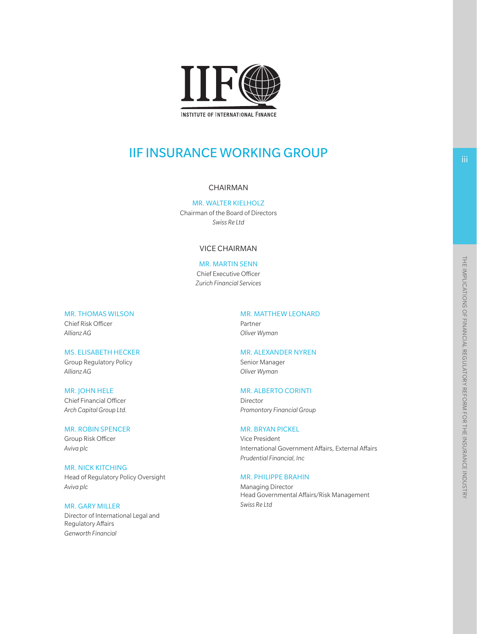

# **IIF INSURANCE WORKING GROUP**

#### CHAIRMAN

MR. WALTER KIELHOLZ Chairman of the Board of Directors *Swiss Re Ltd*

#### VICE CHAIRMAN

#### MR. MARTIN SENN

Chief Executive Officer *Zurich Financial Services*

MR. THOMAS WILSON

Chief Risk Officer *Allianz AG*

#### MS. ELISABETH HECKER

Group Regulatory Policy *Allianz AG*

MR. JOHN HELE

Chief Financial Officer *Arch Capital Group Ltd.*

#### MR. ROBIN SPENCER

Group Risk Officer *Aviva plc*

#### MR. NICK KITCHING

Head of Regulatory Policy Oversight *Aviva plc*

#### MR. GARY MILLER

Director of International Legal and Regulatory Affairs *Genworth Financial*

#### MR. MATTHEW LEONARD

Partner *Oliver Wyman*

#### MR. ALEXANDER NYREN

Senior Manager *Oliver Wyman*

#### MR. ALBERTO CORINTI

Director *Promontory Financial Group*

#### MR. BRYAN PICKEL

Vice President International Government Affairs, External Affairs *Prudential Financial, Inc*

#### MR. PHILIPPE BRAHIN

Managing Director Head Governmental Affairs/Risk Management *Swiss Re Ltd*

iii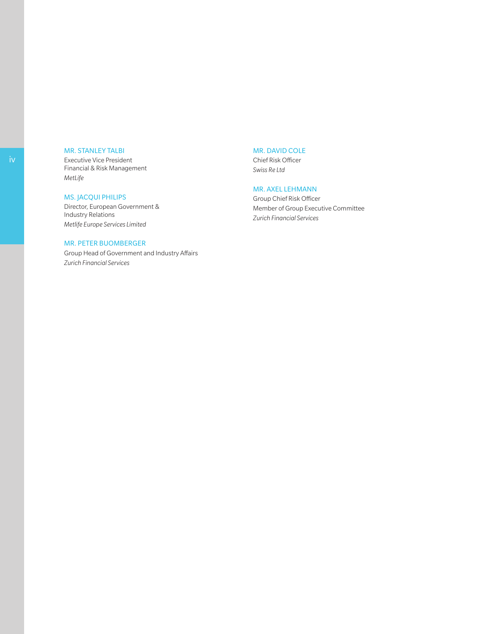#### MR. STANLEY TALBI

Executive Vice President Financial & Risk Management *MetLife*

#### MS. JACQUI PHILIPS

Director, European Government & Industry Relations *Metlife Europe ServicesLimited*

#### MR. PETER BUOMBERGER

Group Head of Government and Industry Affairs *Zurich Financial Services*

#### MR. DAVID COLE

Chief Risk Officer *Swiss Re Ltd*

#### MR. AXEL LEHMANN

Group Chief Risk Officer Member of Group Executive Committee *Zurich Financial Services*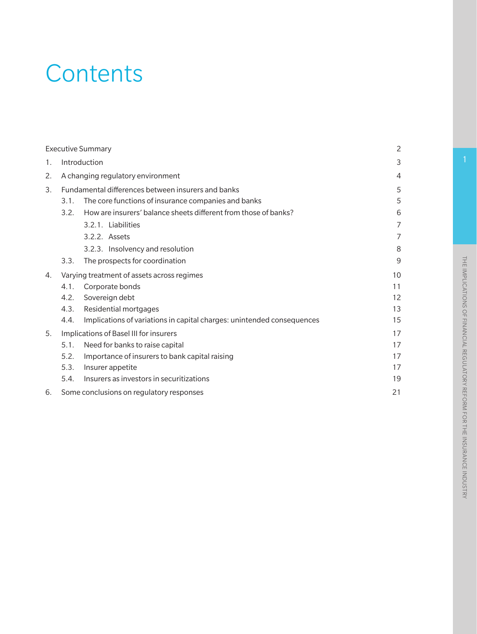# **Contents**

|    |                                   | <b>Executive Summary</b>                                               | $\overline{2}$ |  |  |  |
|----|-----------------------------------|------------------------------------------------------------------------|----------------|--|--|--|
| 1. | Introduction                      |                                                                        |                |  |  |  |
| 2. | A changing regulatory environment |                                                                        |                |  |  |  |
| 3. |                                   | Fundamental differences between insurers and banks                     | 5              |  |  |  |
|    | 3.1.                              | The core functions of insurance companies and banks                    | 5              |  |  |  |
|    | 3.2.                              | How are insurers' balance sheets different from those of banks?        | 6              |  |  |  |
|    |                                   | 3.2.1. Liabilities                                                     | 7              |  |  |  |
|    |                                   | 3.2.2. Assets                                                          | 7              |  |  |  |
|    |                                   | 3.2.3. Insolvency and resolution                                       | 8              |  |  |  |
|    | 3.3.                              | The prospects for coordination                                         | 9              |  |  |  |
| 4. |                                   | Varying treatment of assets across regimes                             | 10             |  |  |  |
|    | 4.1.                              | Corporate bonds                                                        | 11             |  |  |  |
|    | 4.2.                              | Sovereign debt                                                         | 12             |  |  |  |
|    | 4.3.                              | Residential mortgages                                                  | 13             |  |  |  |
|    | 4.4.                              | Implications of variations in capital charges: unintended consequences | 15             |  |  |  |
| 5. |                                   | Implications of Basel III for insurers                                 | 17             |  |  |  |
|    | 5.1.                              | Need for banks to raise capital                                        | 17             |  |  |  |
|    | 5.2.                              | Importance of insurers to bank capital raising                         | 17             |  |  |  |
|    | 5.3.                              | Insurer appetite                                                       | 17             |  |  |  |
|    | 5.4.                              | Insurers as investors in securitizations                               | 19             |  |  |  |
| 6. |                                   | Some conclusions on regulatory responses                               | 21             |  |  |  |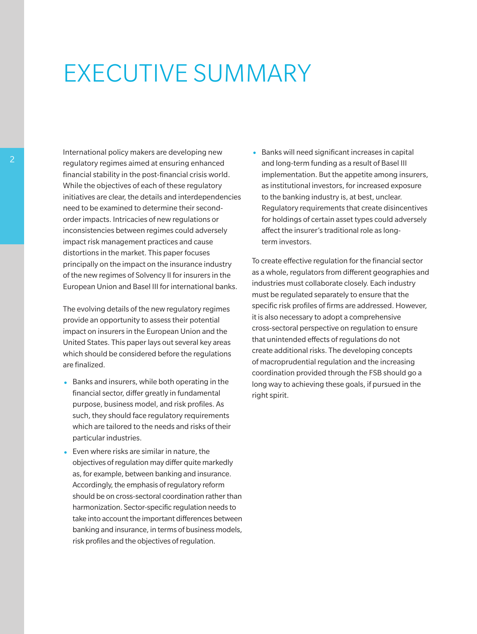# EXECUTIVE SUMMARY

International policy makers are developing new regulatory regimes aimed at ensuring enhanced financial stability in the post-financial crisis world. While the objectives of each of these regulatory initiatives are clear, the details and interdependencies need to be examined to determine their secondorder impacts. Intricacies of new regulations or inconsistencies between regimes could adversely impact risk management practices and cause distortions in the market. This paper focuses principally on the impact on the insurance industry of the new regimes of Solvency II for insurers in the European Union and Basel III for international banks.

The evolving details of the new regulatory regimes provide an opportunity to assess their potential impact on insurers in the European Union and the United States. This paper lays out several key areas which should be considered before the regulations are finalized.

- Banks and insurers, while both operating in the financial sector, differ greatly in fundamental purpose, business model, and risk profiles. As such, they should face regulatory requirements which are tailored to the needs and risks of their particular industries.
- Even where risks are similar in nature, the objectives of regulation may differ quite markedly as, for example, between banking and insurance. Accordingly, the emphasis of regulatory reform should be on cross-sectoral coordination rather than harmonization. Sector-specific regulation needs to take into account the important differences between banking and insurance, in terms of business models, risk profiles and the objectives of regulation.

• Banks will need significant increases in capital and long-term funding as a result of Basel III implementation. But the appetite among insurers, as institutional investors, for increased exposure to the banking industry is, at best, unclear. Regulatory requirements that create disincentives for holdings of certain asset types could adversely affect the insurer's traditional role as longterm investors.

To create effective regulation for the financial sector as a whole, regulators from different geographies and industries must collaborate closely. Each industry must be regulated separately to ensure that the specific risk profiles of firms are addressed. However, it is also necessary to adopt a comprehensive cross-sectoral perspective on regulation to ensure that unintended effects of regulations do not create additional risks. The developing concepts of macroprudential regulation and the increasing coordination provided through the FSB should go a long way to achieving these goals, if pursued in the right spirit.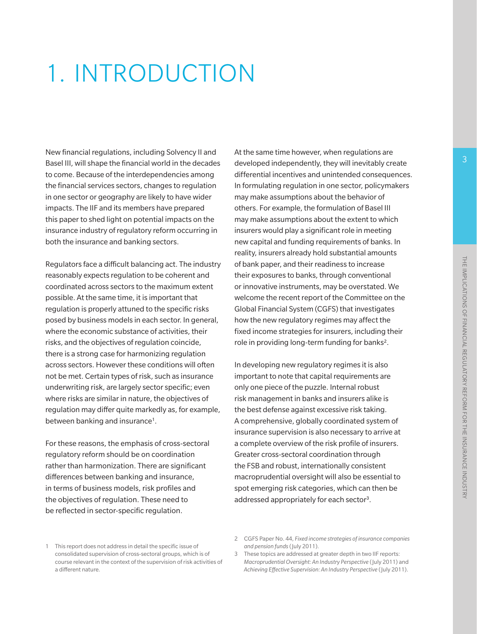# 1. INTRODUCTION

New financial regulations, including Solvency II and Basel III, will shape the financial world in the decades to come. Because of the interdependencies among the financial services sectors, changes to regulation in one sector or geography are likely to have wider impacts. The IIF and its members have prepared this paper to shed light on potential impacts on the insurance industry of regulatory reform occurring in both the insurance and banking sectors.

Regulators face a difficult balancing act. The industry reasonably expects regulation to be coherent and coordinated across sectors to the maximum extent possible. At the same time, it is important that regulation is properly attuned to the specific risks posed by business models in each sector. In general, where the economic substance of activities, their risks, and the objectives of regulation coincide, there is a strong case for harmonizing regulation across sectors. However these conditions will often not be met. Certain types of risk, such as insurance underwriting risk, are largely sector specific; even where risks are similar in nature, the objectives of regulation may differ quite markedly as, for example, between banking and insurance<sup>1</sup>.

For these reasons, the emphasis of cross-sectoral regulatory reform should be on coordination rather than harmonization. There are significant differences between banking and insurance, in terms of business models, risk profiles and the objectives of regulation. These need to be reflected in sector-specific regulation.

At the same time however, when regulations are developed independently, they will inevitably create differential incentives and unintended consequences. In formulating regulation in one sector, policymakers may make assumptions about the behavior of others. For example, the formulation of Basel III may make assumptions about the extent to which insurers would play a significant role in meeting new capital and funding requirements of banks. In reality, insurers already hold substantial amounts of bank paper, and their readiness to increase their exposures to banks, through conventional or innovative instruments, may be overstated. We welcome the recent report of the Committee on the Global Financial System (CGFS) that investigates how the new regulatory regimes may affect the fixed income strategies for insurers, including their role in providing long-term funding for banks<sup>2</sup>.

In developing new regulatory regimes it is also important to note that capital requirements are only one piece of the puzzle. Internal robust risk management in banks and insurers alike is the best defense against excessive risk taking. A comprehensive, globally coordinated system of insurance supervision is also necessary to arrive at a complete overview of the risk profile of insurers. Greater cross-sectoral coordination through the FSB and robust, internationally consistent macroprudential oversight will also be essential to spot emerging risk categories, which can then be addressed appropriately for each sector3.

<sup>1</sup> This report does not address in detail the specific issue of consolidated supervision of cross-sectoral groups, which is of course relevant in the context of the supervision of risk activities of a different nature.

<sup>2</sup> CGFS Paper No. 44, *Fixed income strategies of insurance companies and pension funds* (July 2011).

<sup>3</sup> These topics are addressed at greater depth in two IIF reports: *Macroprudential Oversight: An Industry Perspective* (July 2011) and *Achieving Effective Supervision: An Industry Perspective* (July 2011).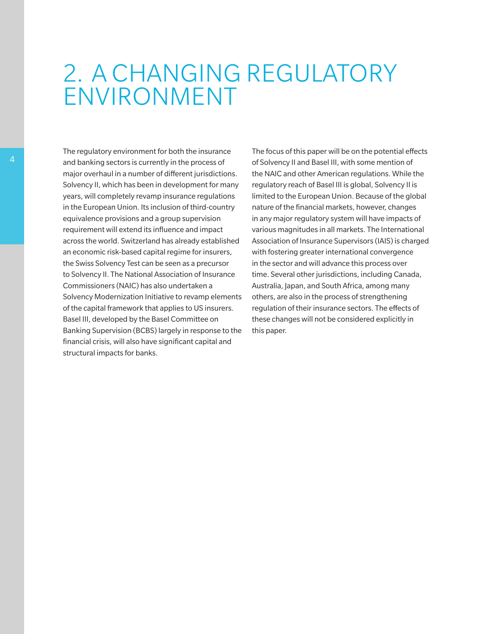# 2. A CHANGING REGULATORY ENVIRONMENT

The regulatory environment for both the insurance and banking sectors is currently in the process of major overhaul in a number of different jurisdictions. Solvency II, which has been in development for many years, will completely revamp insurance regulations in the European Union. Its inclusion of third-country equivalence provisions and a group supervision requirement will extend its influence and impact across the world. Switzerland has already established an economic risk-based capital regime for insurers, the Swiss Solvency Test can be seen as a precursor to Solvency II. The National Association of Insurance Commissioners (NAIC) has also undertaken a Solvency Modernization Initiative to revamp elements of the capital framework that applies to US insurers. Basel III, developed by the Basel Committee on Banking Supervision (BCBS) largely in response to the financial crisis, will also have significant capital and structural impacts for banks.

The focus of this paper will be on the potential effects of Solvency II and Basel III, with some mention of the NAIC and other American regulations. While the regulatory reach of Basel III is global, Solvency II is limited to the European Union. Because of the global nature of the financial markets, however, changes in any major regulatory system will have impacts of various magnitudes in all markets. The International Association of Insurance Supervisors (IAIS) is charged with fostering greater international convergence in the sector and will advance this process over time. Several other jurisdictions, including Canada, Australia, Japan, and South Africa, among many others, are also in the process of strengthening regulation of their insurance sectors. The effects of these changes will not be considered explicitly in this paper.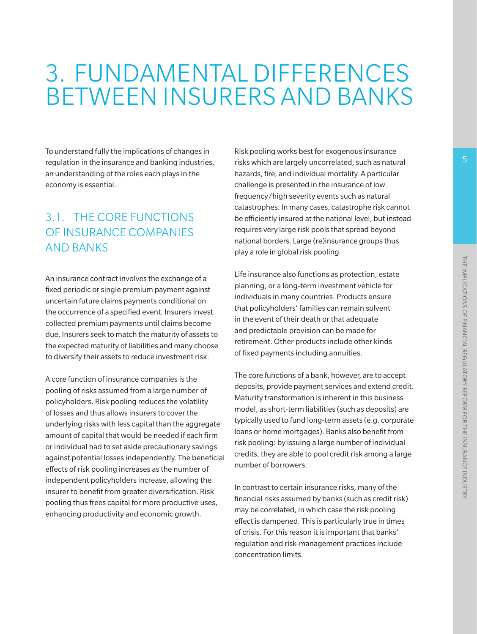# 3. FUNDAMENTAL DIFFERENCES BETWEEN INSURERS AND BANKS

To understand fully the implications of changes in regulation in the insurance and banking industries, an understanding of the roles each plays in the economy is essential.

# 3.1. THE CORE FUNCTIONS OF INSURANCE COMPANIES AND BANKS

An insurance contract involves the exchange of a fixed periodic or single premium payment against uncertain future claims payments conditional on the occurrence of a specified event. Insurers invest collected premium payments until claims become due. Insurers seek to match the maturity of assets to the expected maturity of liabilities and many choose to diversify their assets to reduce investment risk.

A core function of insurance companies is the pooling of risks assumed from a large number of policyholders. Risk pooling reduces the volatility of losses and thus allows insurers to cover the underlying risks with less capital than the aggregate amount of capital that would be needed if each firm or individual had to set aside precautionary savings against potential losses independently. The beneficial effects of risk pooling increases as the number of independent policyholders increase, allowing the insurer to benefit from greater diversification. Risk pooling thus frees capital for more productive uses, enhancing productivity and economic growth.

Risk pooling works best for exogenous insurance risks which are largely uncorrelated, such as natural hazards, fire, and individual mortality. A particular challenge is presented in the insurance of low frequency/high severity events such as natural catastrophes. In many cases, catastrophe risk cannot be efficiently insured at the national level, but instead requires very large risk pools that spread beyond national borders. Large (re)insurance groups thus play a role in global risk pooling.

Life insurance also functions as protection, estate planning, or a long-term investment vehicle for individuals in many countries. Products ensure that policyholders' families can remain solvent in the event of their death or that adequate and predictable provision can be made for retirement. Other products include other kinds of fixed payments including annuities.

The core functions of a bank, however, are to accept deposits, provide payment services and extend credit. Maturity transformation is inherent in this business model, as short-term liabilities (such as deposits) are typically used to fund long-term assets (e.g. corporate loans or home mortgages). Banks also benefit from risk pooling: by issuing a large number of individual credits, they are able to pool credit risk among a large number of borrowers.

In contrast to certain insurance risks, many of the financial risks assumed by banks (such as credit risk) may be correlated, in which case the risk pooling effect is dampened. This is particularly true in times of crisis. For this reason it is important that banks' regulation and risk-management practices include concentration limits.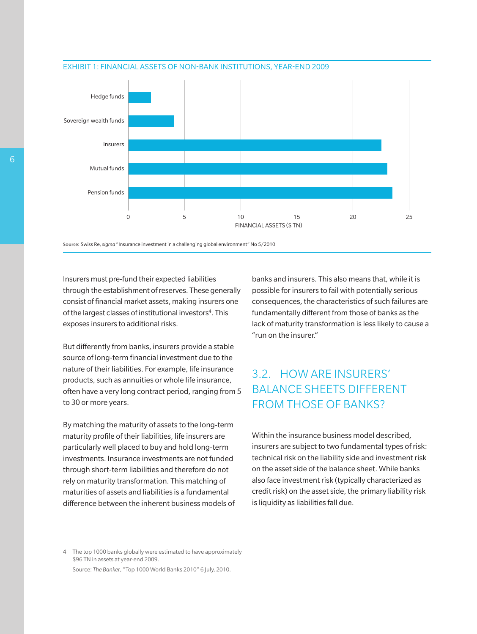

#### EXHIBIT 1: FINANCIAL ASSETS OF NON-BANK INSTITUTIONS, YEAR-END 2009

**Source:** Swiss Re, *sigma* "Insurance investment in a challenging global environment" No 5/2010

Insurers must pre-fund their expected liabilities through the establishment of reserves. These generally consist of financial market assets, making insurers one of the largest classes of institutional investors<sup>4</sup>. This exposes insurers to additional risks.

But differently from banks, insurers provide a stable source of long-term financial investment due to the nature of their liabilities. For example, life insurance products, such as annuities or whole life insurance, often have a very long contract period, ranging from 5 to 30 or more years.

By matching the maturity of assets to the long-term maturity profile of their liabilities, life insurers are particularly well placed to buy and hold long-term investments. Insurance investments are not funded through short-term liabilities and therefore do not rely on maturity transformation. This matching of maturities of assets and liabilities is a fundamental difference between the inherent business models of banks and insurers. This also means that, while it is possible for insurers to fail with potentially serious consequences, the characteristics of such failures are fundamentally different from those of banks as the lack of maturity transformation is less likely to cause a "run on the insurer."

# 3.2. HOW ARE INSURERS' BALANCE SHEETS DIFFERENT FROM THOSE OF BANKS?

Within the insurance business model described, insurers are subject to two fundamental types of risk: technical risk on the liability side and investment risk on the asset side of the balance sheet. While banks also face investment risk (typically characterized as credit risk) on the asset side, the primary liability risk is liquidity as liabilities fall due.

4 The top 1000 banks globally were estimated to have approximately \$96 TN in assets at year-end 2009. Source: *The Banker*, "Top 1000 World Banks 2010" 6 July, 2010.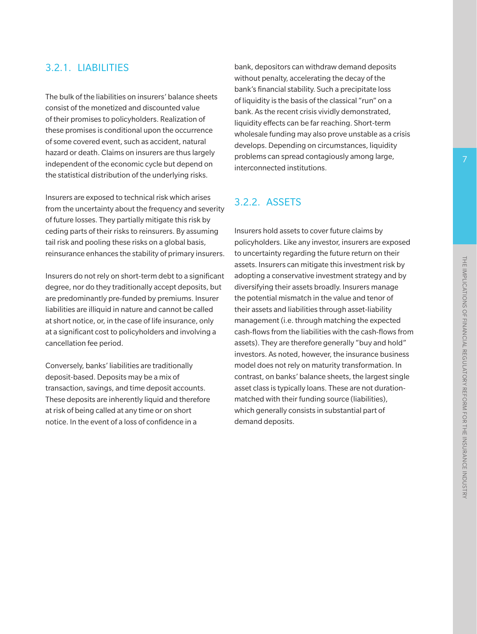### 3.2.1. LIABILITIES

The bulk of the liabilities on insurers' balance sheets consist of the monetized and discounted value of their promises to policyholders. Realization of these promises is conditional upon the occurrence of some covered event, such as accident, natural hazard or death. Claims on insurers are thus largely independent of the economic cycle but depend on the statistical distribution of the underlying risks.

Insurers are exposed to technical risk which arises from the uncertainty about the frequency and severity of future losses. They partially mitigate this risk by ceding parts of their risks to reinsurers. By assuming tail risk and pooling these risks on a global basis, reinsurance enhances the stability of primary insurers.

Insurers do not rely on short-term debt to a significant degree, nor do they traditionally accept deposits, but are predominantly pre-funded by premiums. Insurer liabilities are illiquid in nature and cannot be called at short notice, or, in the case of life insurance, only at a significant cost to policyholders and involving a cancellation fee period.

Conversely, banks' liabilities are traditionally deposit-based. Deposits may be a mix of transaction, savings, and time deposit accounts. These deposits are inherently liquid and therefore at risk of being called at any time or on short notice. In the event of a loss of confidence in a

bank, depositors can withdraw demand deposits without penalty, accelerating the decay of the bank's financial stability. Such a precipitate loss of liquidity is the basis of the classical "run" on a bank. As the recent crisis vividly demonstrated, liquidity effects can be far reaching. Short-term wholesale funding may also prove unstable as a crisis develops. Depending on circumstances, liquidity problems can spread contagiously among large, interconnected institutions.

## 3.2.2. ASSETS

Insurers hold assets to cover future claims by policyholders. Like any investor, insurers are exposed to uncertainty regarding the future return on their assets. Insurers can mitigate this investment risk by adopting a conservative investment strategy and by diversifying their assets broadly. Insurers manage the potential mismatch in the value and tenor of their assets and liabilities through asset-liability management (i.e. through matching the expected cash-flows from the liabilities with the cash-flows from assets). They are therefore generally "buy and hold" investors. As noted, however, the insurance business model does not rely on maturity transformation. In contrast, on banks' balance sheets, the largest single asset class is typically loans. These are not durationmatched with their funding source (liabilities), which generally consists in substantial part of demand deposits.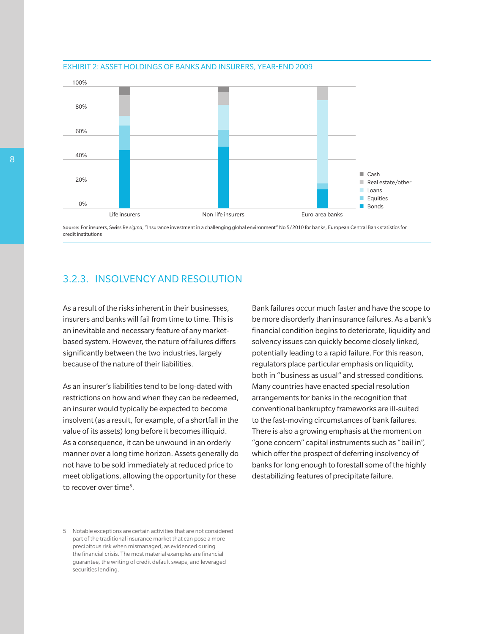



**Source:** For insurers, Swiss Re *sigma*, "Insurance investment in a challenging global environment" No 5/2010 for banks, European Central Bank statistics for credit institutions

### 3.2.3. INSOLVENCY AND RESOLUTION

As a result of the risks inherent in their businesses, insurers and banks will fail from time to time. This is an inevitable and necessary feature of any marketbased system. However, the nature of failures differs significantly between the two industries, largely because of the nature of their liabilities.

As an insurer's liabilities tend to be long-dated with restrictions on how and when they can be redeemed, an insurer would typically be expected to become insolvent (as a result, for example, of a shortfall in the value of its assets) long before it becomes illiquid. As a consequence, it can be unwound in an orderly manner over a long time horizon. Assets generally do not have to be sold immediately at reduced price to meet obligations, allowing the opportunity for these to recover over time5.

Bank failures occur much faster and have the scope to be more disorderly than insurance failures. As a bank's financial condition begins to deteriorate, liquidity and solvency issues can quickly become closely linked, potentially leading to a rapid failure. For this reason, regulators place particular emphasis on liquidity, both in "business as usual" and stressed conditions. Many countries have enacted special resolution arrangements for banks in the recognition that conventional bankruptcy frameworks are ill-suited to the fast-moving circumstances of bank failures. There is also a growing emphasis at the moment on "gone concern" capital instruments such as "bail in", which offer the prospect of deferring insolvency of banks for long enough to forestall some of the highly destabilizing features of precipitate failure.

<sup>5</sup> Notable exceptions are certain activities that are not considered part of the traditional insurance market that can pose a more precipitous risk when mismanaged, as evidenced during the financial crisis. The most material examples are financial guarantee, the writing of credit default swaps, and leveraged securities lending.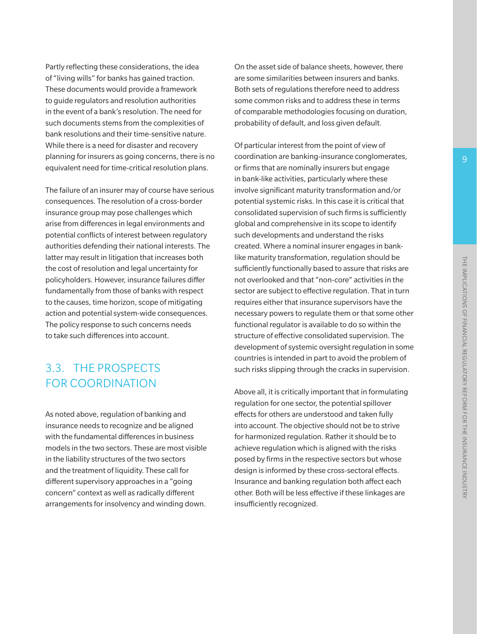Partly reflecting these considerations, the idea of "living wills" for banks has gained traction. These documents would provide a framework to guide regulators and resolution authorities in the event of a bank's resolution. The need for such documents stems from the complexities of bank resolutions and their time-sensitive nature. While there is a need for disaster and recovery planning for insurers as going concerns, there is no equivalent need for time-critical resolution plans.

The failure of an insurer may of course have serious consequences. The resolution of a cross-border insurance group may pose challenges which arise from differences in legal environments and potential conflicts of interest between regulatory authorities defending their national interests. The latter may result in litigation that increases both the cost of resolution and legal uncertainty for policyholders. However, insurance failures differ fundamentally from those of banks with respect to the causes, time horizon, scope of mitigating action and potential system-wide consequences. The policy response to such concerns needs to take such differences into account.

## 3.3. THE PROSPECTS FOR COORDINATION

As noted above, regulation of banking and insurance needs to recognize and be aligned with the fundamental differences in business models in the two sectors. These are most visible in the liability structures of the two sectors and the treatment of liquidity. These call for different supervisory approaches in a "going concern" context as well as radically different arrangements for insolvency and winding down.

On the asset side of balance sheets, however, there are some similarities between insurers and banks. Both sets of regulations therefore need to address some common risks and to address these in terms of comparable methodologies focusing on duration, probability of default, and loss given default.

Of particular interest from the point of view of coordination are banking-insurance conglomerates, or firms that are nominally insurers but engage in bank-like activities, particularly where these involve significant maturity transformation and/or potential systemic risks. In this case it is critical that consolidated supervision of such firms is sufficiently global and comprehensive in its scope to identify such developments and understand the risks created. Where a nominal insurer engages in banklike maturity transformation, regulation should be sufficiently functionally based to assure that risks are not overlooked and that "non-core" activities in the sector are subject to effective regulation. That in turn requires either that insurance supervisors have the necessary powers to regulate them or that some other functional regulator is available to do so within the structure of effective consolidated supervision. The development of systemic oversight regulation in some countries is intended in part to avoid the problem of such risks slipping through the cracks in supervision.

Above all, it is critically important that in formulating regulation for one sector, the potential spillover effects for others are understood and taken fully into account. The objective should not be to strive for harmonized regulation. Rather it should be to achieve regulation which is aligned with the risks posed by firms in the respective sectors but whose design is informed by these cross-sectoral effects. Insurance and banking regulation both affect each other. Both will be less effective if these linkages are insufficiently recognized.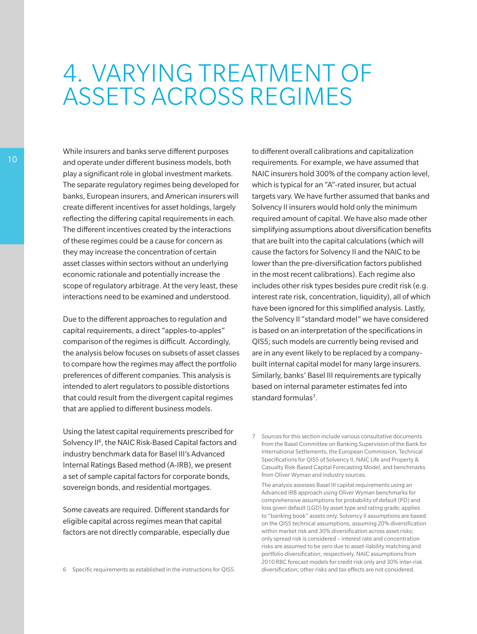# 4. VARYING TREATMENT OF ASSETS ACROSS REGIMES

While insurers and banks serve different purposes and operate under different business models, both play a significant role in global investment markets. The separate regulatory regimes being developed for banks, European insurers, and American insurers will create different incentives for asset holdings, largely reflecting the differing capital requirements in each. The different incentives created by the interactions of these regimes could be a cause for concern as they may increase the concentration of certain asset classes within sectors without an underlying economic rationale and potentially increase the scope of regulatory arbitrage. At the very least, these interactions need to be examined and understood.

Due to the different approaches to regulation and capital requirements, a direct "apples-to-apples" comparison of the regimes is difficult. Accordingly, the analysis below focuses on subsets of asset classes to compare how the regimes may affect the portfolio preferences of different companies. This analysis is intended to alert regulators to possible distortions that could result from the divergent capital regimes that are applied to different business models.

to different overall calibrations and capitalization requirements. For example, we have assumed that NAIC insurers hold 300% of the company action level, which is typical for an "A"-rated insurer, but actual targets vary. We have further assumed that banks and Solvency II insurers would hold only the minimum required amount of capital. We have also made other simplifying assumptions about diversification benefits that are built into the capital calculations (which will cause the factors for Solvency II and the NAIC to be lower than the pre-diversification factors published in the most recent calibrations). Each regime also includes other risk types besides pure credit risk (e.g. interest rate risk, concentration, liquidity), all of which have been ignored for this simplified analysis. Lastly, the Solvency II "standard model" we have considered is based on an interpretation of the specifications in QIS5; such models are currently being revised and are in any event likely to be replaced by a companybuilt internal capital model for many large insurers. Similarly, banks' Basel III requirements are typically based on internal parameter estimates fed into standard formulas<sup>7</sup>.

Using the latest capital requirements prescribed for Solvency II<sup>6</sup>, the NAIC Risk-Based Capital factors and industry benchmark data for Basel III's Advanced Internal Ratings Based method (A-IRB), we present a set of sample capital factors for corporate bonds, sovereign bonds, and residential mortgages.

Some caveats are required. Different standards for eligible capital across regimes mean that capital factors are not directly comparable, especially due

6 Specific requirements as established in the instructions for QIS5.

7 Sources for this section include various consultative documents from the Basel Committee on Banking Supervision of the Bank for International Settlements, the European Commission, Technical Specifications for QIS5 of Solvency II, NAIC Life and Property & Casualty Risk-Based Capital Forecasting Model, and benchmarks from Oliver Wyman and industry sources.

The analysis assesses Basel III capital requirements using an Advanced IRB approach using Oliver Wyman benchmarks for comprehensive assumptions for probability of default (PD) and loss given default (LGD) by asset type and rating grade; applies to "banking book" assets only. Solvency II assumptions are based on the QIS5 technical assumptions, assuming 20% diversification within market risk and 30% diversification across asset risks; only spread risk is considered – interest rate and concentration risks are assumed to be zero due to asset-liability matching and portfolio diversification, respectively. NAIC assumptions from 2010 RBC forecast models for credit risk only and 30% inter-risk diversification; other risks and tax effects are not considered.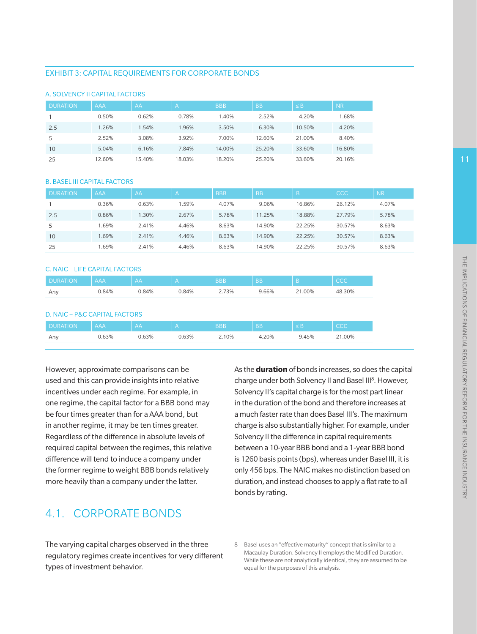#### EXHIBIT 3: CAPITAL REQUIREMENTS FOR CORPORATE BONDS

| <b>DURATION</b> | <b>AAA</b> | AA     | $\overline{\mathsf{A}}$ | <b>BBB</b> | <b>BB</b> | $\leq$ B. | <b>NR</b> |
|-----------------|------------|--------|-------------------------|------------|-----------|-----------|-----------|
|                 | 0.50%      | 0.62%  | 0.78%                   | 1.40%      | 2.52%     | 4.20%     | 1.68%     |
| 2.5             | .26%       | 1.54%  | 1.96%                   | 3.50%      | 6.30%     | 10.50%    | 4.20%     |
| 5               | 2.52%      | 3.08%  | 3.92%                   | 7.00%      | 12.60%    | 21.00%    | 8.40%     |
| 10              | 5.04%      | 6.16%  | 7.84%                   | 14.00%     | 25.20%    | 33.60%    | 16.80%    |
| 25              | 12.60%     | 15.40% | 18.03%                  | 18.20%     | 25.20%    | 33.60%    | 20.16%    |

#### A. SOLVENCY II CAPITAL FACTORS

#### B. BASEL III CAPITAL FACTORS

| <b>DURATION</b> | <b>AAA</b> | AA    |       | <b>BBB</b> | <b>BB</b> |        | <b>CCC</b> | <b>NR</b> |
|-----------------|------------|-------|-------|------------|-----------|--------|------------|-----------|
|                 | 0.36%      | 0.63% | .59%  | 4.07%      | 9.06%     | 16.86% | 26.12%     | 4.07%     |
| 2.5             | 0.86%      | 1.30% | 2.67% | 5.78%      | 11.25%    | 18.88% | 27.79%     | 5.78%     |
| 5               | 1.69%      | 2.41% | 4.46% | 8.63%      | 14.90%    | 22.25% | 30.57%     | 8.63%     |
| 10              | 1.69%      | 2.41% | 4.46% | 8.63%      | 14.90%    | 22.25% | 30.57%     | 8.63%     |
| 25              | 1.69%      | 2.41% | 4.46% | 8.63%      | 14.90%    | 22.25% | 30.57%     | 8.63%     |

### C. NAIC – LIFE CAPITAL FACTORS

| <b>DURATION</b> | AAA   | ۱AА   |       | <b>BBB</b> | <b>BB</b> |        |        |
|-----------------|-------|-------|-------|------------|-----------|--------|--------|
| Any             | 0.84% | 0.84% | 0.84% | 73%        | Э.66%     | 21.00% | 48.30% |

#### D. NAIC – P&C CAPITAL FACTORS

| I DURATION | <b>AAA</b> |                  | 3BF | <b>BB</b> |     |      |
|------------|------------|------------------|-----|-----------|-----|------|
| Anv        | 3%، ر      | 330 <sub>6</sub> | 10% | 20%       | 45% | .00% |

However, approximate comparisons can be used and this can provide insights into relative incentives under each regime. For example, in one regime, the capital factor for a BBB bond may be four times greater than for a AAA bond, but in another regime, it may be ten times greater. Regardless of the difference in absolute levels of required capital between the regimes, this relative difference will tend to induce a company under the former regime to weight BBB bonds relatively more heavily than a company under the latter.

charge under both Solvency II and Basel III<sup>8</sup>. However, Solvency II's capital charge is for the most part linear in the duration of the bond and therefore increases at a much faster rate than does Basel III's. The maximum charge is also substantially higher. For example, under Solvency II the difference in capital requirements between a 10-year BBB bond and a 1-year BBB bond is 1260 basis points (bps), whereas under Basel III, it is only 456 bps. The NAIC makes no distinction based on duration, and instead chooses to apply a flat rate to all bonds by rating.

As the **duration** of bonds increases, so does the capital

## 4.1. CORPORATE BONDS

The varying capital charges observed in the three regulatory regimes create incentives for very different types of investment behavior.

<sup>8</sup> Basel uses an "effective maturity" concept that is similar to a Macaulay Duration. Solvency II employs the Modified Duration. While these are not analytically identical, they are assumed to be equal for the purposes of this analysis.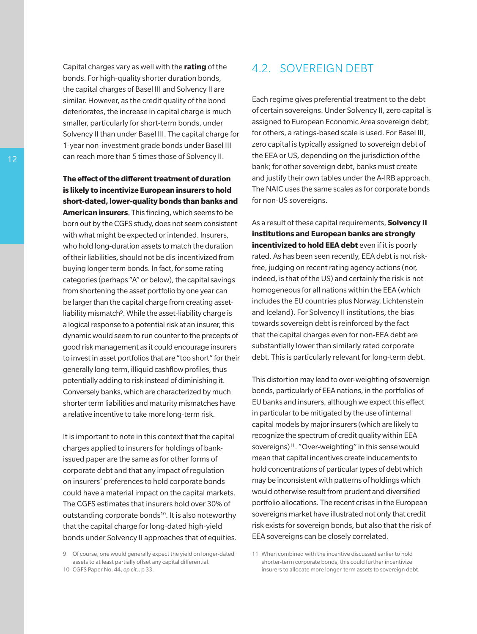Capital charges vary as well with the **rating** of the bonds. For high-quality shorter duration bonds, the capital charges of Basel III and Solvency II are similar. However, as the credit quality of the bond deteriorates, the increase in capital charge is much smaller, particularly for short-term bonds, under Solvency II than under Basel III. The capital charge for 1-year non-investment grade bonds under Basel III can reach more than 5 times those of Solvency II.

**The effect of the different treatment of duration is likely to incentivize European insurers to hold short-dated, lower-quality bonds than banks and American insurers**. This finding, which seems to be born out by the CGFS study, does not seem consistent with what might be expected or intended. Insurers, who hold long-duration assets to match the duration of their liabilities, should not be dis-incentivized from buying longer term bonds. In fact, for some rating categories (perhaps "A" or below), the capital savings from shortening the asset portfolio by one year can be larger than the capital charge from creating assetliability mismatch<sup>9</sup>. While the asset-liability charge is a logical response to a potential risk at an insurer, this dynamic would seem to run counter to the precepts of good risk management as it could encourage insurers to invest in asset portfolios that are "too short" for their generally long-term, illiquid cashflow profiles, thus potentially adding to risk instead of diminishing it. Conversely banks, which are characterized by much shorter term liabilities and maturity mismatches have a relative incentive to take more long-term risk.

It is important to note in this context that the capital charges applied to insurers for holdings of bankissued paper are the same as for other forms of corporate debt and that any impact of regulation on insurers' preferences to hold corporate bonds could have a material impact on the capital markets. The CGFS estimates that insurers hold over 30% of outstanding corporate bonds<sup>10</sup>. It is also noteworthy that the capital charge for long-dated high-yield bonds under Solvency II approaches that of equities.

## 4.2. SOVEREIGN DEBT

Each regime gives preferential treatment to the debt of certain sovereigns. Under Solvency II, zero capital is assigned to European Economic Area sovereign debt; for others, a ratings-based scale is used. For Basel III, zero capital is typically assigned to sovereign debt of the EEA or US, depending on the jurisdiction of the bank; for other sovereign debt, banks must create and justify their own tables under the A-IRB approach. The NAIC uses the same scales as for corporate bonds for non-US sovereigns.

As a result of these capital requirements, **Solvency II institutions and European banks are strongly incentivized to hold EEA debt** even if it is poorly rated. As has been seen recently, EEA debt is not riskfree, judging on recent rating agency actions (nor, indeed, is that of the US) and certainly the risk is not homogeneous for all nations within the EEA (which includes the EU countries plus Norway, Lichtenstein and Iceland). For Solvency II institutions, the bias towards sovereign debt is reinforced by the fact that the capital charges even for non-EEA debt are substantially lower than similarly rated corporate debt. This is particularly relevant for long-term debt.

This distortion may lead to over-weighting of sovereign bonds, particularly of EEA nations, in the portfolios of EU banks and insurers, although we expect this effect in particular to be mitigated by the use of internal capital models by major insurers (which are likely to recognize the spectrum of credit quality within EEA sovereigns)<sup>11</sup>. "Over-weighting" in this sense would mean that capital incentives create inducements to hold concentrations of particular types of debt which may be inconsistent with patterns of holdings which would otherwise result from prudent and diversified portfolio allocations. The recent crises in the European sovereigns market have illustrated not only that credit risk exists for sovereign bonds, but also that the risk of EEA sovereigns can be closely correlated.

11 When combined with the incentive discussed earlier to hold shorter-term corporate bonds, this could further incentivize insurers to allocate more longer-term assets to sovereign debt.

<sup>9</sup> Of course, one would generally expect the yield on longer-dated assets to at least partially offset any capital differential. 10 CGFS Paper No. 44, *op cit*., p 33.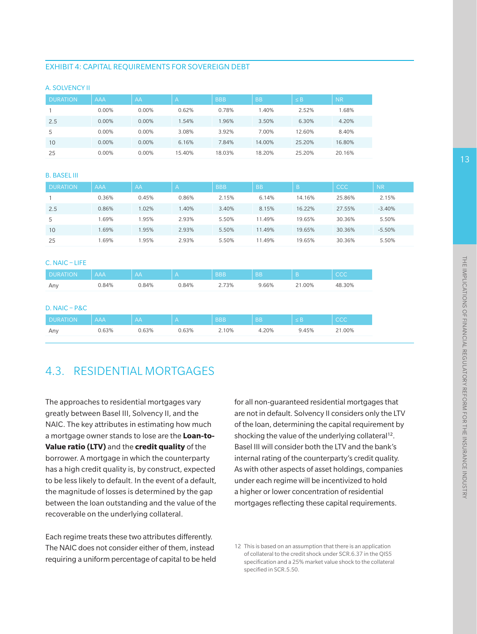#### EXHIBIT 4: CAPITAL REQUIREMENTS FOR SOVEREIGN DEBT

|  |  | <b>A. SOLVENCY II</b> |  |
|--|--|-----------------------|--|
|  |  |                       |  |

| <b>DURATION</b> | <b>AAA</b> | AA       | Α      | <b>BBB</b> | <b>BB</b> | $\leq$ B | <b>NR</b> |
|-----------------|------------|----------|--------|------------|-----------|----------|-----------|
|                 | 0.00%      | 0.00%    | 0.62%  | 0.78%      | 1.40%     | 2.52%    | 1.68%     |
| 2.5             | 0.00%      | 0.00%    | 1.54%  | 1.96%      | 3.50%     | 6.30%    | 4.20%     |
| 5               | 0.00%      | 0.00%    | 3.08%  | 3.92%      | 7.00%     | 12.60%   | 8.40%     |
| 10              | $0.00\%$   | $0.00\%$ | 6.16%  | 7.84%      | 14.00%    | 25.20%   | 16.80%    |
| 25              | 0.00%      | 0.00%    | 15.40% | 18.03%     | 18.20%    | 25.20%   | 20.16%    |

#### B. BASEL III

C. NAIC – LIFE

| <b>DURATION</b> | <b>AAA</b> | AA    | $\overline{\mathcal{A}}$ | <b>BBB</b> | <b>BB</b> |        | <b>CCC</b> | <b>NR</b> |
|-----------------|------------|-------|--------------------------|------------|-----------|--------|------------|-----------|
|                 | 0.36%      | 0.45% | 0.86%                    | 2.15%      | 6.14%     | 14.16% | 25.86%     | 2.15%     |
| 2.5             | 0.86%      | 1.02% | .40%                     | 3.40%      | 8.15%     | 16.22% | 27.55%     | $-3.40%$  |
| 5               | .69%       | 1.95% | 2.93%                    | 5.50%      | 11.49%    | 19.65% | 30.36%     | 5.50%     |
| 10              | 1.69%      | 1.95% | 2.93%                    | 5.50%      | 11.49%    | 19.65% | 30.36%     | $-5.50%$  |
| 25              | .69%       | .95%  | 2.93%                    | 5.50%      | 11.49%    | 19.65% | 30.36%     | 5.50%     |

| U. NAIU TILIFE                     |       |       |       |            |           |          |            |  |  |
|------------------------------------|-------|-------|-------|------------|-----------|----------|------------|--|--|
| <b>DURATION</b>                    | AAA   | AA    | A     | <b>BBB</b> | <b>BB</b> | B        | <b>CCC</b> |  |  |
| Any                                | 0.84% | 0.84% | 0.84% | 2.73%      | 9.66%     | 21.00%   | 48.30%     |  |  |
|                                    |       |       |       |            |           |          |            |  |  |
|                                    |       |       |       |            |           |          |            |  |  |
|                                    |       |       |       |            |           |          |            |  |  |
| $D. NAIC - P&C$<br><b>DURATION</b> | AAA   | AA    | A     | <b>BBB</b> | <b>BB</b> | $\leq$ B | <b>CCC</b> |  |  |

## 4.3. RESIDENTIAL MORTGAGES

The approaches to residential mortgages vary greatly between Basel III, Solvency II, and the NAIC. The key attributes in estimating how much a mortgage owner stands to lose are the **Loan-to-Value ratio (LTV)** and the **credit quality** of the borrower. A mortgage in which the counterparty has a high credit quality is, by construct, expected to be less likely to default. In the event of a default, the magnitude of losses is determined by the gap between the loan outstanding and the value of the recoverable on the underlying collateral.

Each regime treats these two attributes differently. The NAIC does not consider either of them, instead requiring a uniform percentage of capital to be held for all non-guaranteed residential mortgages that are not in default. Solvency II considers only the LTV of the loan, determining the capital requirement by shocking the value of the underlying collateral<sup>12</sup>. Basel III will consider both the LTV and the bank's internal rating of the counterparty's credit quality. As with other aspects of asset holdings, companies under each regime will be incentivized to hold a higher or lower concentration of residential mortgages reflecting these capital requirements.

<sup>12</sup> This is based on an assumption that there is an application of collateral to the credit shock under SCR.6.37 in the QIS5 specification and a 25% market value shock to the collateral specified in SCR.5.50.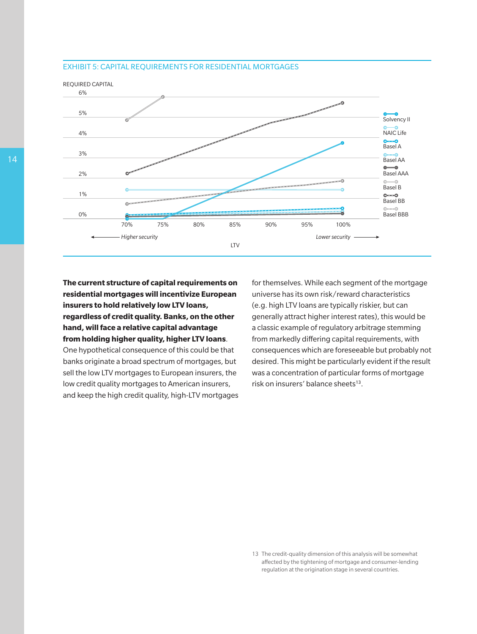#### EXHIBIT 5: CAPITAL REQUIREMENTS FOR RESIDENTIAL MORTGAGES



**The current structure of capital requirements on residential mortgages will incentivize European insurers to hold relatively low LTV loans, regardless of credit quality. Banks, on the other hand, will face a relative capital advantage from holding higher quality, higher LTV loans**.

One hypothetical consequence of this could be that banks originate a broad spectrum of mortgages, but sell the low LTV mortgages to European insurers, the low credit quality mortgages to American insurers, and keep the high credit quality, high-LTV mortgages for themselves. While each segment of the mortgage universe has its own risk/reward characteristics (e.g. high LTV loans are typically riskier, but can generally attract higher interest rates), this would be a classic example of regulatory arbitrage stemming from markedly differing capital requirements, with consequences which are foreseeable but probably not desired. This might be particularly evident if the result was a concentration of particular forms of mortgage risk on insurers' balance sheets<sup>13</sup>.

13 The credit-quality dimension of this analysis will be somewhat affected by the tightening of mortgage and consumer-lending regulation at the origination stage in several countries.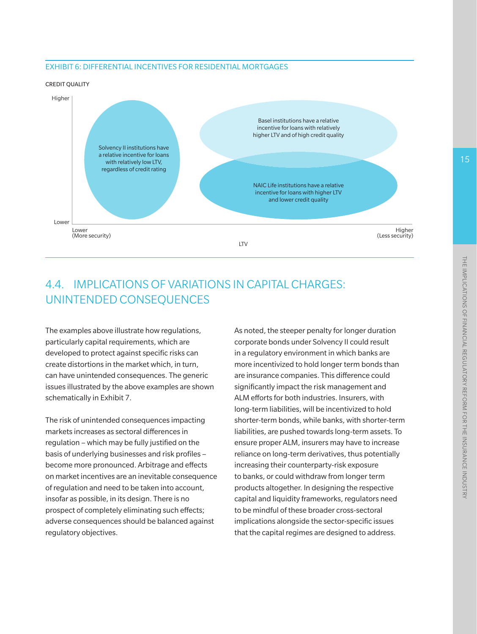### EXHIBIT 6: DIFFERENTIAL INCENTIVES FOR RESIDENTIAL MORTGAGES

#### CREDIT QUALITY



## 4.4. IMPLICATIONS OF VARIATIONS IN CAPITAL CHARGES: UNINTENDED CONSEQUENCES

The examples above illustrate how regulations, particularly capital requirements, which are developed to protect against specific risks can create distortions in the market which, in turn, can have unintended consequences. The generic issues illustrated by the above examples are shown schematically in Exhibit 7.

The risk of unintended consequences impacting markets increases as sectoral differences in regulation – which may be fully justified on the basis of underlying businesses and risk profiles – become more pronounced. Arbitrage and effects on market incentives are an inevitable consequence of regulation and need to be taken into account, insofar as possible, in its design. There is no prospect of completely eliminating such effects; adverse consequences should be balanced against regulatory objectives.

As noted, the steeper penalty for longer duration corporate bonds under Solvency II could result in a regulatory environment in which banks are more incentivized to hold longer term bonds than are insurance companies. This difference could significantly impact the risk management and ALM efforts for both industries. Insurers, with long-term liabilities, will be incentivized to hold shorter-term bonds, while banks, with shorter-term liabilities, are pushed towards long-term assets. To ensure proper ALM, insurers may have to increase reliance on long-term derivatives, thus potentially increasing their counterparty-risk exposure to banks, or could withdraw from longer term products altogether. In designing the respective capital and liquidity frameworks, regulators need to be mindful of these broader cross-sectoral implications alongside the sector-specific issues that the capital regimes are designed to address.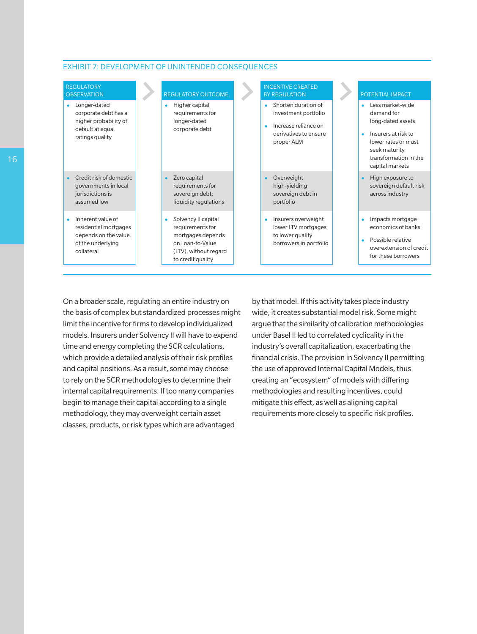#### EXHIBIT 7: DEVELOPMENT OF UNINTENDED CONSEQUENCES

| <b>REGULATORY</b><br><b>OBSERVATION</b>                                                               | <b>REGULATORY OUTCOME</b>                                                                                                           | <b>INCENTIVE CREATED</b><br><b>BY REGULATION</b>                                                                     | POTENTIAL IMPACT                                                                                                                                               |
|-------------------------------------------------------------------------------------------------------|-------------------------------------------------------------------------------------------------------------------------------------|----------------------------------------------------------------------------------------------------------------------|----------------------------------------------------------------------------------------------------------------------------------------------------------------|
| Longer-dated<br>corporate debt has a<br>higher probability of<br>default at equal<br>ratings quality  | Higher capital<br>٠<br>requirements for<br>longer-dated<br>corporate debt                                                           | Shorten duration of<br>٠<br>investment portfolio<br>Increase reliance on<br>٠<br>derivatives to ensure<br>proper ALM | Less market-wide<br>demand for<br>long-dated assets<br>Insurers at risk to<br>lower rates or must<br>seek maturity<br>transformation in the<br>capital markets |
| Credit risk of domestic<br>governments in local<br>jurisdictions is<br>assumed low                    | Zero capital<br>$\bullet$<br>requirements for<br>sovereign debt;<br>liquidity regulations                                           | Overweight<br>٠<br>high-yielding<br>sovereign debt in<br>portfolio                                                   | High exposure to<br>$\bullet$<br>sovereign default risk<br>across industry                                                                                     |
| Inherent value of<br>residential mortgages<br>depends on the value<br>of the underlying<br>collateral | Solvency II capital<br>٠<br>requirements for<br>mortgages depends<br>on Loan-to-Value<br>(LTV), without regard<br>to credit quality | Insurers overweight<br>$\bullet$<br>lower LTV mortgages<br>to lower quality<br>borrowers in portfolio                | Impacts mortgage<br>economics of banks<br>Possible relative<br>$\bullet$<br>overextension of credit<br>for these borrowers                                     |

On a broader scale, regulating an entire industry on the basis of complex but standardized processes might limit the incentive for firms to develop individualized models. Insurers under Solvency II will have to expend time and energy completing the SCR calculations, which provide a detailed analysis of their risk profiles and capital positions. As a result, some may choose to rely on the SCR methodologies to determine their internal capital requirements. If too many companies begin to manage their capital according to a single methodology, they may overweight certain asset classes, products, or risk types which are advantaged

by that model. If this activity takes place industry wide, it creates substantial model risk. Some might argue that the similarity of calibration methodologies under Basel II led to correlated cyclicality in the industry's overall capitalization, exacerbating the financial crisis. The provision in Solvency II permitting the use of approved Internal Capital Models, thus creating an "ecosystem" of models with differing methodologies and resulting incentives, could mitigate this effect, as well as aligning capital requirements more closely to specific risk profiles.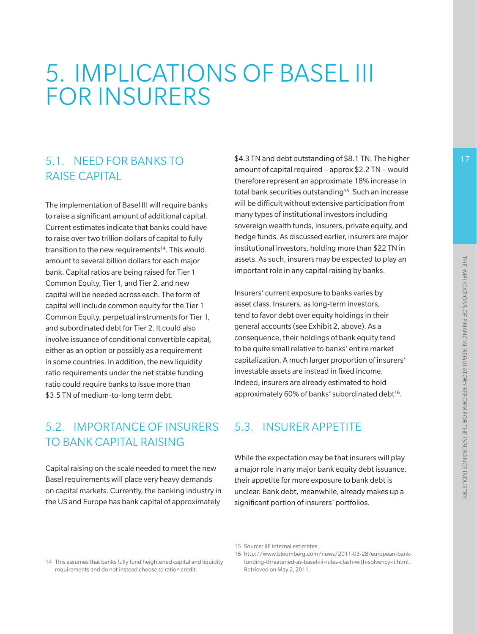# 5. IMPLICATIONS OF BASEL III FOR INSURERS

## 5.1. NEED FOR BANKS TO RAISE CAPITAL

The implementation of Basel III will require banks to raise a significant amount of additional capital. Current estimates indicate that banks could have to raise over two trillion dollars of capital to fully transition to the new requirements<sup>14</sup>. This would amount to several billion dollars for each major bank. Capital ratios are being raised for Tier 1 Common Equity, Tier 1, and Tier 2, and new capital will be needed across each. The form of capital will include common equity for the Tier 1 Common Equity, perpetual instruments for Tier 1, and subordinated debt for Tier 2. It could also involve issuance of conditional convertible capital, either as an option or possibly as a requirement in some countries. In addition, the new liquidity ratio requirements under the net stable funding ratio could require banks to issue more than \$3.5 TN of medium-to-long term debt.

## 5.2. IMPORTANCE OF INSURERS TO BANK CAPITAL RAISING

Capital raising on the scale needed to meet the new Basel requirements will place very heavy demands on capital markets. Currently, the banking industry in the US and Europe has bank capital of approximately

\$4.3 TN and debt outstanding of \$8.1 TN. The higher amount of capital required – approx \$2.2 TN – would therefore represent an approximate 18% increase in total bank securities outstanding<sup>15</sup>. Such an increase will be difficult without extensive participation from many types of institutional investors including sovereign wealth funds, insurers, private equity, and hedge funds. As discussed earlier, insurers are major institutional investors, holding more than \$22 TN in assets. As such, insurers may be expected to play an important role in any capital raising by banks.

Insurers' current exposure to banks varies by asset class. Insurers, as long-term investors, tend to favor debt over equity holdings in their general accounts (see Exhibit 2, above). As a consequence, their holdings of bank equity tend to be quite small relative to banks' entire market capitalization. A much larger proportion of insurers' investable assets are instead in fixed income. Indeed, insurers are already estimated to hold approximately 60% of banks' subordinated debt<sup>16</sup>.

## 5.3. INSURER APPETITE

While the expectation may be that insurers will play a major role in any major bank equity debt issuance, their appetite for more exposure to bank debt is unclear. Bank debt, meanwhile, already makes up a significant portion of insurers' portfolios.

#### 15 Source: IIF internal estimates.

<sup>14</sup> This assumes that banks fully fund heightened capital and liquidity requirements and do not instead choose to ration credit.

<sup>16</sup> http://www.bloomberg.com/news/2011-03-28/european-bankfunding-threatened-as-basel-iii-rules-clash-with-solvency-ii.html. Retrieved on May 2, 2011.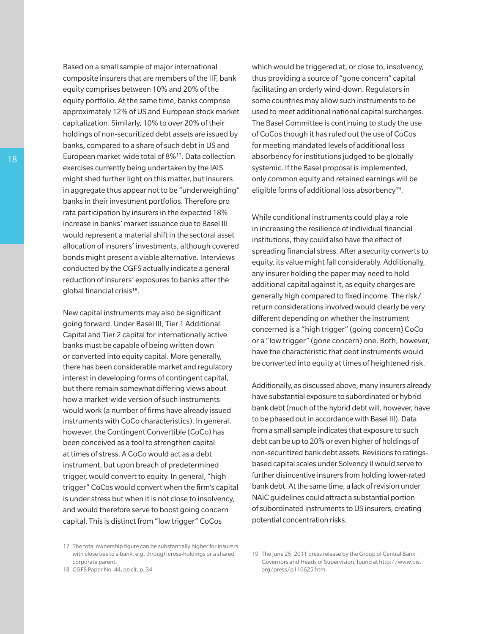Based on a small sample of major international composite insurers that are members of the IIF, bank equity comprises between 10% and 20% of the equity portfolio. At the same time, banks comprise approximately 12% of US and European stock market capitalization. Similarly, 10% to over 20% of their holdings of non-securitized debt assets are issued by banks, compared to a share of such debt in US and European market-wide total of 8%17. Data collection exercises currently being undertaken by the IAIS might shed further light on this matter, but insurers in aggregate thus appear not to be "underweighting" banks in their investment portfolios. Therefore pro rata participation by insurers in the expected 18% increase in banks' market issuance due to Basel III would represent a material shift in the sectoral asset allocation of insurers' investments, although covered bonds might present a viable alternative. Interviews conducted by the CGFS actually indicate a general reduction of insurers' exposures to banks after the global financial crisis<sup>18</sup>.

New capital instruments may also be significant going forward. Under Basel III, Tier 1 Additional Capital and Tier 2 capital for internationally active banks must be capable of being written down or converted into equity capital. More generally, there has been considerable market and regulatory interest in developing forms of contingent capital, but there remain somewhat differing views about how a market-wide version of such instruments would work (a number of firms have already issued instruments with CoCo characteristics). In general, however, the Contingent Convertible (CoCo) has been conceived as a tool to strengthen capital at times of stress. A CoCo would act as a debt instrument, but upon breach of predetermined trigger, would convert to equity. In general, "high trigger" CoCos would convert when the firm's capital is under stress but when it is not close to insolvency, and would therefore serve to boost going concern capital. This is distinct from "low trigger" CoCos

which would be triggered at, or close to, insolvency, thus providing a source of "gone concern" capital facilitating an orderly wind-down. Regulators in some countries may allow such instruments to be used to meet additional national capital surcharges. The Basel Committee is continuing to study the use of CoCos though it has ruled out the use of CoCos for meeting mandated levels of additional loss absorbency for institutions judged to be globally systemic. If the Basel proposal is implemented, only common equity and retained earnings will be eligible forms of additional loss absorbency19.

While conditional instruments could play a role in increasing the resilience of individual financial institutions, they could also have the effect of spreading financial stress. After a security converts to equity, its value might fall considerably. Additionally, any insurer holding the paper may need to hold additional capital against it, as equity charges are generally high compared to fixed income. The risk/ return considerations involved would clearly be very different depending on whether the instrument concerned is a "high trigger" (going concern) CoCo or a "low trigger" (gone concern) one. Both, however, have the characteristic that debt instruments would be converted into equity at times of heightened risk.

Additionally, as discussed above, many insurers already have substantial exposure to subordinated or hybrid bank debt (much of the hybrid debt will, however, have to be phased out in accordance with Basel III). Data from a small sample indicates that exposure to such debt can be up to 20% or even higher of holdings of non-securitized bank debt assets. Revisions to ratingsbased capital scales under Solvency II would serve to further disincentive insurers from holding lower-rated bank debt. At the same time, a lack of revision under NAIC guidelines could attract a substantial portion of subordinated instruments to US insurers, creating potential concentration risks.

<sup>17</sup> The total ownership figure can be substantially higher for insurers with close ties to a bank, e.g. through cross-holdings or a shared corporate parent.

<sup>18</sup> CGFS Paper No. 44, *op cit*, p. 34

<sup>19</sup> The June 25, 2011 press release by the Group of Central Bank Governors and Heads of Supervision, found at http://www.bis. org/press/p110625.htm.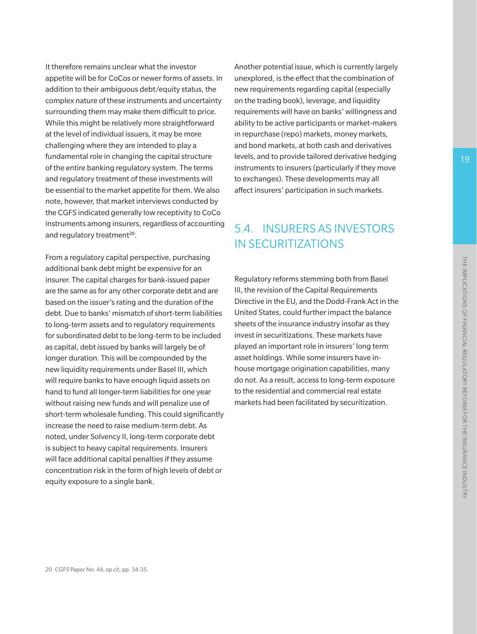It therefore remains unclear what the investor appetite will be for CoCos or newer forms of assets. In addition to their ambiguous debt/equity status, the complex nature of these instruments and uncertainty surrounding them may make them difficult to price. While this might be relatively more straightforward at the level of individual issuers, it may be more challenging where they are intended to play a fundamental role in changing the capital structure of the entire banking regulatory system. The terms and regulatory treatment of these investments will be essential to the market appetite for them. We also note, however, that market interviews conducted by the CGFS indicated generally low receptivity to CoCo instruments among insurers, regardless of accounting and regulatory treatment<sup>20</sup>.

From a regulatory capital perspective, purchasing additional bank debt might be expensive for an insurer. The capital charges for bank-issued paper are the same as for any other corporate debt and are based on the issuer's rating and the duration of the debt. Due to banks' mismatch of short-term liabilities to long-term assets and to regulatory requirements for subordinated debt to be long-term to be included as capital, debt issued by banks will largely be of longer duration. This will be compounded by the new liquidity requirements under Basel III, which will require banks to have enough liquid assets on hand to fund all longer-term liabilities for one year without raising new funds and will penalize use of short-term wholesale funding. This could significantly increase the need to raise medium-term debt. As noted, under Solvency II, long-term corporate debt is subject to heavy capital requirements. Insurers will face additional capital penalties if they assume concentration risk in the form of high levels of debt or equity exposure to a single bank.

Another potential issue, which is currently largely unexplored, is the effect that the combination of new requirements regarding capital (especially on the trading book), leverage, and liquidity requirements will have on banks' willingness and ability to be active participants or market-makers in repurchase (repo) markets, money markets, and bond markets, at both cash and derivatives levels, and to provide tailored derivative hedging instruments to insurers (particularly if they move to exchanges). These developments may all affect insurers' participation in such markets.

## 5.4. INSURERS AS INVESTORS IN SECURITIZATIONS

Regulatory reforms stemming both from Basel III, the revision of the Capital Requirements Directive in the EU, and the Dodd-Frank Act in the United States, could further impact the balance sheets of the insurance industry insofar as they invest in securitizations. These markets have played an important role in insurers' long term asset holdings. While some insurers have inhouse mortgage origination capabilities, many do not. As a result, access to long-term exposure to the residential and commercial real estate markets had been facilitated by securitization.

19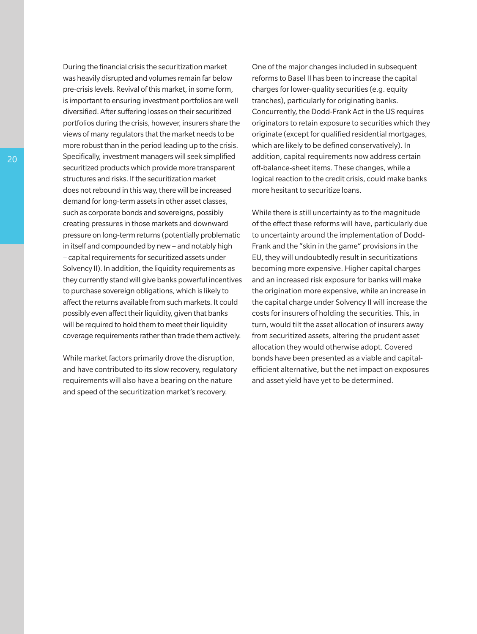During the financial crisis the securitization market was heavily disrupted and volumes remain far below pre-crisis levels. Revival of this market, in some form, is important to ensuring investment portfolios are well diversified. After suffering losses on their securitized portfolios during the crisis, however, insurers share the views of many regulators that the market needs to be more robust than in the period leading up to the crisis. Specifically, investment managers will seek simplified securitized products which provide more transparent structures and risks. If the securitization market does not rebound in this way, there will be increased demand for long-term assets in other asset classes, such as corporate bonds and sovereigns, possibly creating pressures in those markets and downward pressure on long-term returns (potentially problematic in itself and compounded by new – and notably high – capital requirements for securitized assets under Solvency II). In addition, the liquidity requirements as they currently stand will give banks powerful incentives to purchase sovereign obligations, which is likely to affect the returns available from such markets. It could possibly even affect their liquidity, given that banks will be required to hold them to meet their liquidity coverage requirements rather than trade themactively.

While market factors primarily drove the disruption, and have contributed to its slow recovery, regulatory requirements will also have a bearing on the nature and speed of the securitization market's recovery.

One of the major changes included in subsequent reforms to Basel II has been to increase the capital charges for lower-quality securities (e.g. equity tranches), particularly for originating banks. Concurrently, the Dodd-Frank Act in the US requires originators to retain exposure to securities which they originate (except for qualified residential mortgages, which are likely to be defined conservatively). In addition, capital requirements now address certain off-balance-sheet items. These changes, while a logical reaction to the credit crisis, could make banks more hesitant to securitize loans.

While there is still uncertainty as to the magnitude of the effect these reforms will have, particularly due to uncertainty around the implementation of Dodd-Frank and the "skin in the game" provisions in the EU, they will undoubtedly result in securitizations becoming more expensive. Higher capital charges and an increased risk exposure for banks will make the origination more expensive, while an increase in the capital charge under Solvency II will increase the costs for insurers of holding the securities. This, in turn, would tilt the asset allocation of insurers away from securitized assets, altering the prudent asset allocation they would otherwise adopt. Covered bonds have been presented as a viable and capitalefficient alternative, but the net impact on exposures and asset yield have yet to be determined.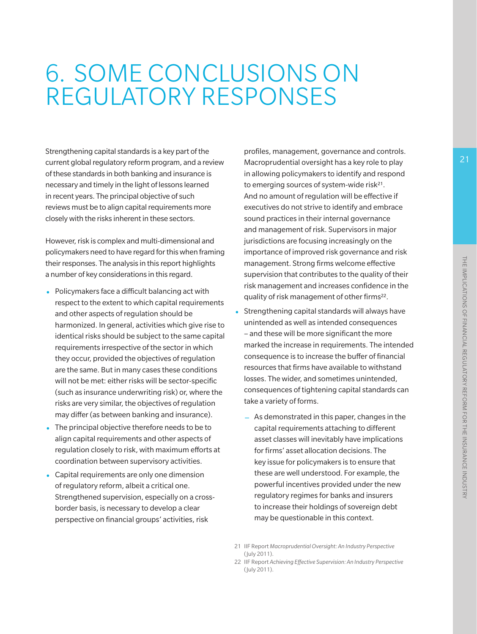# 6. SOME CONCLUSIONS ON REGULATORY RESPONSES

Strengthening capital standards is a key part of the current global regulatory reform program, and a review of these standards in both banking and insurance is necessary and timely in the light of lessons learned in recent years. The principal objective of such reviews must be to align capital requirements more closely with the risks inherent in these sectors.

However, risk is complex and multi-dimensional and policymakers need to have regard for this when framing their responses. The analysis in this report highlights a number of key considerations in this regard.

- Policymakers face a difficult balancing act with respect to the extent to which capital requirements and other aspects of regulation should be harmonized. In general, activities which give rise to identical risks should be subject to the same capital requirements irrespective of the sector in which they occur, provided the objectives of regulation are the same. But in many cases these conditions will not be met: either risks will be sector-specific (such as insurance underwriting risk) or, where the risks are very similar, the objectives of regulation may differ (as between banking and insurance).
- The principal objective therefore needs to be to align capital requirements and other aspects of regulation closely to risk, with maximum efforts at coordination between supervisory activities.
- Capital requirements are only one dimension of regulatory reform, albeit a critical one. Strengthened supervision, especially on a crossborder basis, is necessary to develop a clear perspective on financial groups' activities, risk

profiles, management, governance and controls. Macroprudential oversight has a key role to play in allowing policymakers to identify and respond to emerging sources of system-wide risk<sup>21</sup>. And no amount of regulation will be effective if executives do not strive to identify and embrace sound practices in their internal governance and management of risk. Supervisors in major jurisdictions are focusing increasingly on the importance of improved risk governance and risk management. Strong firms welcome effective supervision that contributes to the quality of their risk management and increases confidence in the quality of risk management of other firms<sup>22</sup>.

- Strengthening capital standards will always have unintended as well as intended consequences – and these will be more significant the more marked the increase in requirements. The intended consequence is to increase the buffer of financial resources that firms have available to withstand losses. The wider, and sometimes unintended, consequences of tightening capital standards can take a variety of forms.
	- − As demonstrated in this paper, changes in the capital requirements attaching to different asset classes will inevitably have implications for firms' asset allocation decisions. The key issue for policymakers is to ensure that these are well understood. For example, the powerful incentives provided under the new regulatory regimes for banks and insurers to increase their holdings of sovereign debt may be questionable in this context.

22 IIF Report *Achieving Effective Supervision: An Industry Perspective*  (July 2011).

<sup>21</sup> IIF Report *Macroprudential Oversight: An Industry Perspective* (July 2011).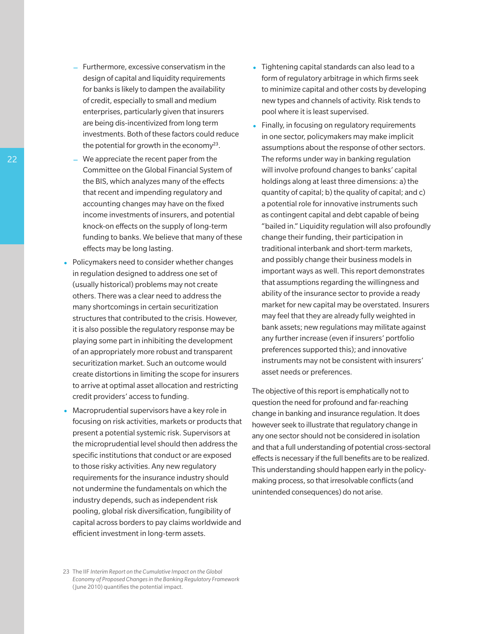- Furthermore, excessive conservatism in the design of capital and liquidity requirements for banks is likely to dampen the availability of credit, especially to small and medium enterprises, particularly given that insurers are being dis-incentivized from long term investments. Both of these factors could reduce the potential for growth in the economy<sup>23</sup>.
- We appreciate the recent paper from the Committee on the Global Financial System of the BIS, which analyzes many of the effects that recent and impending regulatory and accounting changes may have on the fixed income investments of insurers, and potential knock-on effects on the supply of long-term funding to banks. We believe that many of these effects may be long lasting.
- Policymakers need to consider whether changes in regulation designed to address one set of (usually historical) problems may not create others. There was a clear need to address the many shortcomings in certain securitization structures that contributed to the crisis. However, it is also possible the regulatory response may be playing some part in inhibiting the development of an appropriately more robust and transparent securitization market. Such an outcome would create distortions in limiting the scope for insurers to arrive at optimal asset allocation and restricting credit providers' access to funding.
- Macroprudential supervisors have a key role in focusing on risk activities, markets or products that present a potential systemic risk. Supervisors at the microprudential level should then address the specific institutions that conduct or are exposed to those risky activities. Any new regulatory requirements for the insurance industry should not undermine the fundamentals on which the industry depends, such as independent risk pooling, global risk diversification, fungibility of capital across borders to pay claims worldwide and efficient investment in long-term assets.
- Tightening capital standards can also lead to a form of regulatory arbitrage in which firms seek to minimize capital and other costs by developing new types and channels of activity. Risk tends to pool where it is least supervised.
- Finally, in focusing on regulatory requirements in one sector, policymakers may make implicit assumptions about the response of other sectors. The reforms under way in banking regulation will involve profound changes to banks' capital holdings along at least three dimensions: a) the quantity of capital; b) the quality of capital; and c) a potential role for innovative instruments such as contingent capital and debt capable of being "bailed in." Liquidity regulation will also profoundly change their funding, their participation in traditional interbank and short-term markets, and possibly change their business models in important ways as well. This report demonstrates that assumptions regarding the willingness and ability of the insurance sector to provide a ready market for new capital may be overstated. Insurers may feel that they are already fully weighted in bank assets; new regulations may militate against any further increase (even if insurers' portfolio preferences supported this); and innovative instruments may not be consistent with insurers' asset needs or preferences.

The objective of this report is emphatically not to question the need for profound and far-reaching change in banking and insurance regulation. It does however seek to illustrate that regulatory change in any one sector should not be considered in isolation and that a full understanding of potential cross-sectoral effects is necessary if the full benefits are to be realized. This understanding should happen early in the policymaking process, so that irresolvable conflicts (and unintended consequences) do not arise.

22

<sup>23</sup> The IIF *Interim Report on the Cumulative Impact on the Global Economy of Proposed Changes in the Banking Regulatory Framework* (June 2010) quantifies the potential impact.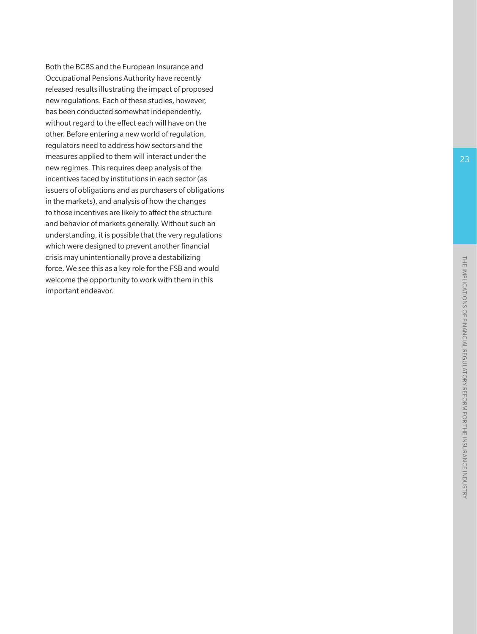Both the BCBS and the European Insurance and Occupational Pensions Authority have recently released results illustrating the impact of proposed new regulations. Each of these studies, however, has been conducted somewhat independently, without regard to the effect each will have on the other. Before entering a new world of regulation, regulators need to address how sectors and the measures applied to them will interact under the new regimes. This requires deep analysis of the incentives faced by institutions in each sector (as issuers of obligations and as purchasers of obligations in the markets), and analysis of how the changes to those incentives are likely to affect the structure and behavior of markets generally. Without such an understanding, it is possible that the very regulations which were designed to prevent another financial crisis may unintentionally prove a destabilizing force. We see this as a key role for the FSB and would welcome the opportunity to work with them in this important endeavor.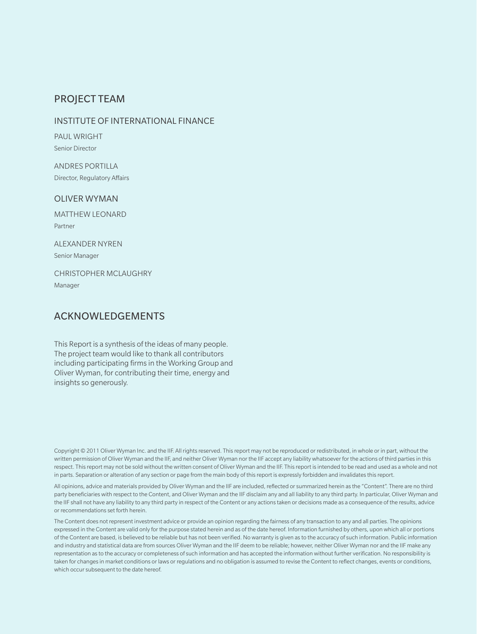### PROJECT TEAM

#### INSTITUTE OF INTERNATIONAL FINANCE

PAUL WRIGHT Senior Director

ANDRES PORTILLA Director, Regulatory Affairs

#### OLIVER WYMAN

MATTHEW LEONARD Partner

ALEXANDER NYREN Senior Manager

CHRISTOPHER MCLAUGHRY Manager

### ACKNOWLEDGEMENTS

This Report is a synthesis of the ideas of many people. The project team would like to thank all contributors including participating firms in the Working Group and Oliver Wyman, for contributing their time, energy and insights so generously.

Copyright © 2011 Oliver Wyman Inc. and the IIF. All rights reserved. This report may not be reproduced or redistributed, in whole or in part, without the written permission of Oliver Wyman and the IIF, and neither Oliver Wyman nor the IIF accept any liability whatsoever for the actions of third parties in this respect. This report may not be sold without the written consent of Oliver Wyman and the IIF. This report is intended to be read and used as a whole and not in parts. Separation or alteration of any section or page from the main body of this report is expressly forbidden and invalidates thisreport.

All opinions, advice and materials provided by Oliver Wyman and the IIF are included, reflected or summarized herein as the "Content". There are no third party beneficiaries with respect to the Content, and Oliver Wyman and the IIF disclaim any and all liability to any third party. In particular, Oliver Wyman and the IIF shall not have any liability to any third party in respect of the Content or any actions taken or decisions made as a consequence of the results, advice or recommendations set forth herein.

The Content does not represent investment advice or provide an opinion regarding the fairness of any transaction to any and all parties. The opinions expressed in the Content are valid only for the purpose stated herein and as of the date hereof. Information furnished by others, upon which all or portions of the Content are based, is believed to be reliable but has not been verified. No warranty is given as to the accuracy of such information. Public information and industry and statistical data are from sources Oliver Wyman and the IIF deem to be reliable; however, neither Oliver Wyman nor and the IIF make any representation as to the accuracy or completeness of such information and has accepted the information without further verification. No responsibility is taken for changes in market conditions or laws or regulations and no obligation is assumed to revise the Content to reflect changes, events or conditions, which occur subsequent to the date hereof.